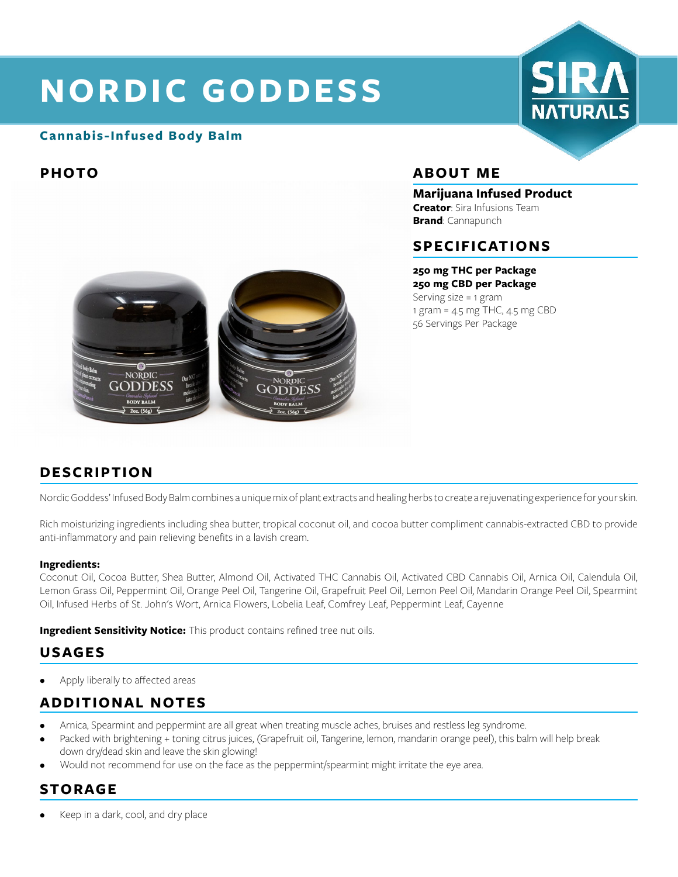# **NORDIC GODDESS**

### **Cannabis-Infused Body Balm**



# **PHOTO ABOUT ME**

#### **Marijuana Infused Product**

**Creator**: Sira Infusions Team **Brand**: Cannapunch

### **SPECIFICATIONS**

#### **250 mg THC per Package**

**250 mg CBD per Package** Serving size = 1 gram 1 gram = 4.5 mg THC, 4.5 mg CBD 56 Servings Per Package



# **DESCRIPTION**

Nordic Goddess' Infused Body Balm combines a unique mix of plant extracts and healing herbs to create a rejuvenating experience for your skin.

Rich moisturizing ingredients including shea butter, tropical coconut oil, and cocoa butter compliment cannabis-extracted CBD to provide anti-inflammatory and pain relieving benefits in a lavish cream.

#### **Ingredients:**

Coconut Oil, Cocoa Butter, Shea Butter, Almond Oil, Activated THC Cannabis Oil, Activated CBD Cannabis Oil, Arnica Oil, Calendula Oil, Lemon Grass Oil, Peppermint Oil, Orange Peel Oil, Tangerine Oil, Grapefruit Peel Oil, Lemon Peel Oil, Mandarin Orange Peel Oil, Spearmint Oil, Infused Herbs of St. John's Wort, Arnica Flowers, Lobelia Leaf, Comfrey Leaf, Peppermint Leaf, Cayenne

**Ingredient Sensitivity Notice:** This product contains refined tree nut oils.

# **USAGES**

Apply liberally to affected areas

# **ADDITIONAL NOTES**

- Arnica, Spearmint and peppermint are all great when treating muscle aches, bruises and restless leg syndrome.
- Packed with brightening + toning citrus juices, (Grapefruit oil, Tangerine, lemon, mandarin orange peel), this balm will help break down dry/dead skin and leave the skin glowing!
- Would not recommend for use on the face as the peppermint/spearmint might irritate the eye area.

# **STORAGE**

• Keep in a dark, cool, and dry place